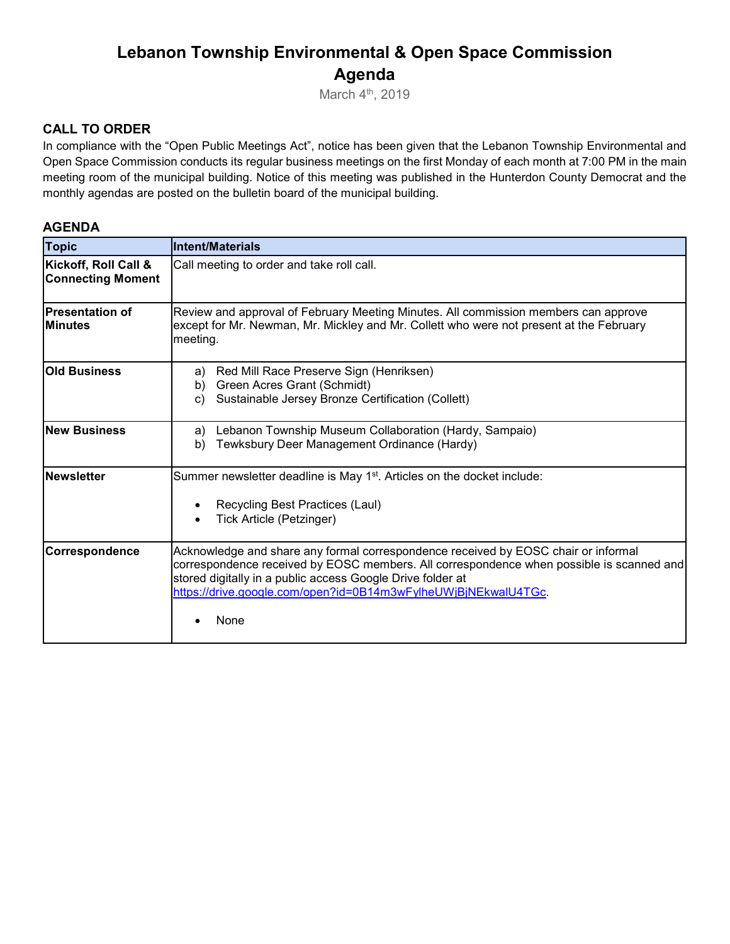# **Lebanon Township Environmental & Open Space Commission Agenda**

March 4<sup>th</sup>, 2019

#### **CALL TO ORDER**

In compliance with the "Open Public Meetings Act", notice has been given that the Lebanon Township Environmental and Open Space Commission conducts its regular business meetings on the first Monday of each month at 7:00 PM in the main meeting room of the municipal building. Notice of this meeting was published in the Hunterdon County Democrat and the monthly agendas are posted on the bulletin board of the municipal building.

#### **AGENDA**

| <b>Topic</b>                                     | <b>Intent/Materials</b>                                                                                                                                                                                                                                                                                                |
|--------------------------------------------------|------------------------------------------------------------------------------------------------------------------------------------------------------------------------------------------------------------------------------------------------------------------------------------------------------------------------|
| Kickoff, Roll Call &<br><b>Connecting Moment</b> | Call meeting to order and take roll call.                                                                                                                                                                                                                                                                              |
| <b>Presentation of</b><br><b>Minutes</b>         | Review and approval of February Meeting Minutes. All commission members can approve<br>except for Mr. Newman, Mr. Mickley and Mr. Collett who were not present at the February<br>meeting.                                                                                                                             |
| <b>Old Business</b>                              | Red Mill Race Preserve Sign (Henriksen)<br>a)<br>Green Acres Grant (Schmidt)<br>b)<br>Sustainable Jersey Bronze Certification (Collett)<br>C)                                                                                                                                                                          |
| <b>New Business</b>                              | Lebanon Township Museum Collaboration (Hardy, Sampaio)<br>a)<br>Tewksbury Deer Management Ordinance (Hardy)<br>b)                                                                                                                                                                                                      |
| <b>Newsletter</b>                                | Summer newsletter deadline is May 1 <sup>st</sup> . Articles on the docket include:<br>Recycling Best Practices (Laul)<br>Tick Article (Petzinger)                                                                                                                                                                     |
| Correspondence                                   | Acknowledge and share any formal correspondence received by EOSC chair or informal<br>correspondence received by EOSC members. All correspondence when possible is scanned and<br>stored digitally in a public access Google Drive folder at<br>https://drive.google.com/open?id=0B14m3wFylheUWjBjNEkwalU4TGc.<br>None |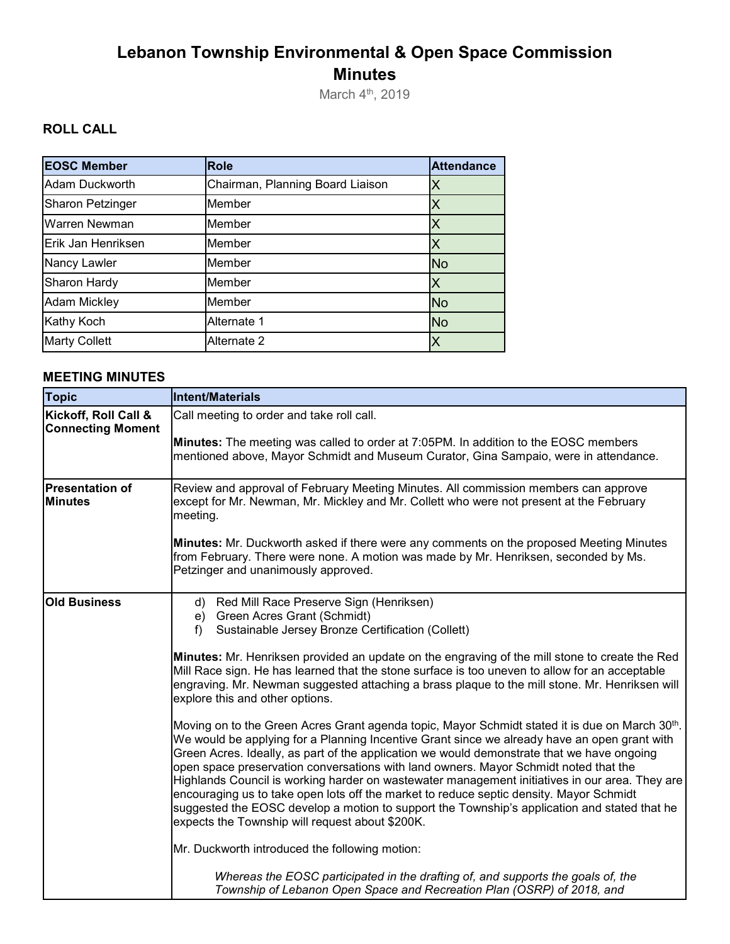# **Lebanon Township Environmental & Open Space Commission Minutes**

March 4<sup>th</sup>, 2019

## **ROLL CALL**

| <b>EOSC Member</b>   | <b>Role</b>                      | <b>Attendance</b> |
|----------------------|----------------------------------|-------------------|
| Adam Duckworth       | Chairman, Planning Board Liaison |                   |
| Sharon Petzinger     | Member                           |                   |
| Warren Newman        | Member                           |                   |
| Erik Jan Henriksen   | Member                           |                   |
| Nancy Lawler         | Member                           | <b>No</b>         |
| Sharon Hardy         | Member                           |                   |
| <b>Adam Mickley</b>  | Member                           | <b>No</b>         |
| Kathy Koch           | Alternate 1                      | <b>No</b>         |
| <b>Marty Collett</b> | Alternate 2                      |                   |

### **MEETING MINUTES**

| <b>Topic</b>                                     | Intent/Materials                                                                                                                                                                                                                                                                                                                                                                                                                                                                                                                                                                                                                                                                                                                     |
|--------------------------------------------------|--------------------------------------------------------------------------------------------------------------------------------------------------------------------------------------------------------------------------------------------------------------------------------------------------------------------------------------------------------------------------------------------------------------------------------------------------------------------------------------------------------------------------------------------------------------------------------------------------------------------------------------------------------------------------------------------------------------------------------------|
| Kickoff, Roll Call &<br><b>Connecting Moment</b> | Call meeting to order and take roll call.<br>Minutes: The meeting was called to order at 7:05PM. In addition to the EOSC members<br>mentioned above, Mayor Schmidt and Museum Curator, Gina Sampaio, were in attendance.                                                                                                                                                                                                                                                                                                                                                                                                                                                                                                             |
| <b>Presentation of</b><br><b>Minutes</b>         | Review and approval of February Meeting Minutes. All commission members can approve<br>except for Mr. Newman, Mr. Mickley and Mr. Collett who were not present at the February<br>meeting.                                                                                                                                                                                                                                                                                                                                                                                                                                                                                                                                           |
|                                                  | Minutes: Mr. Duckworth asked if there were any comments on the proposed Meeting Minutes<br>from February. There were none. A motion was made by Mr. Henriksen, seconded by Ms.<br>Petzinger and unanimously approved.                                                                                                                                                                                                                                                                                                                                                                                                                                                                                                                |
| <b>Old Business</b>                              | d) Red Mill Race Preserve Sign (Henriksen)<br>e) Green Acres Grant (Schmidt)<br>Sustainable Jersey Bronze Certification (Collett)<br>f)                                                                                                                                                                                                                                                                                                                                                                                                                                                                                                                                                                                              |
|                                                  | Minutes: Mr. Henriksen provided an update on the engraving of the mill stone to create the Red<br>Mill Race sign. He has learned that the stone surface is too uneven to allow for an acceptable<br>engraving. Mr. Newman suggested attaching a brass plaque to the mill stone. Mr. Henriksen will<br>explore this and other options.                                                                                                                                                                                                                                                                                                                                                                                                |
|                                                  | Moving on to the Green Acres Grant agenda topic, Mayor Schmidt stated it is due on March 30th.<br>We would be applying for a Planning Incentive Grant since we already have an open grant with<br>Green Acres. Ideally, as part of the application we would demonstrate that we have ongoing<br>open space preservation conversations with land owners. Mayor Schmidt noted that the<br>Highlands Council is working harder on wastewater management initiatives in our area. They are<br>encouraging us to take open lots off the market to reduce septic density. Mayor Schmidt<br>suggested the EOSC develop a motion to support the Township's application and stated that he<br>expects the Township will request about \$200K. |
|                                                  | Mr. Duckworth introduced the following motion:                                                                                                                                                                                                                                                                                                                                                                                                                                                                                                                                                                                                                                                                                       |
|                                                  | Whereas the EOSC participated in the drafting of, and supports the goals of, the<br>Township of Lebanon Open Space and Recreation Plan (OSRP) of 2018, and                                                                                                                                                                                                                                                                                                                                                                                                                                                                                                                                                                           |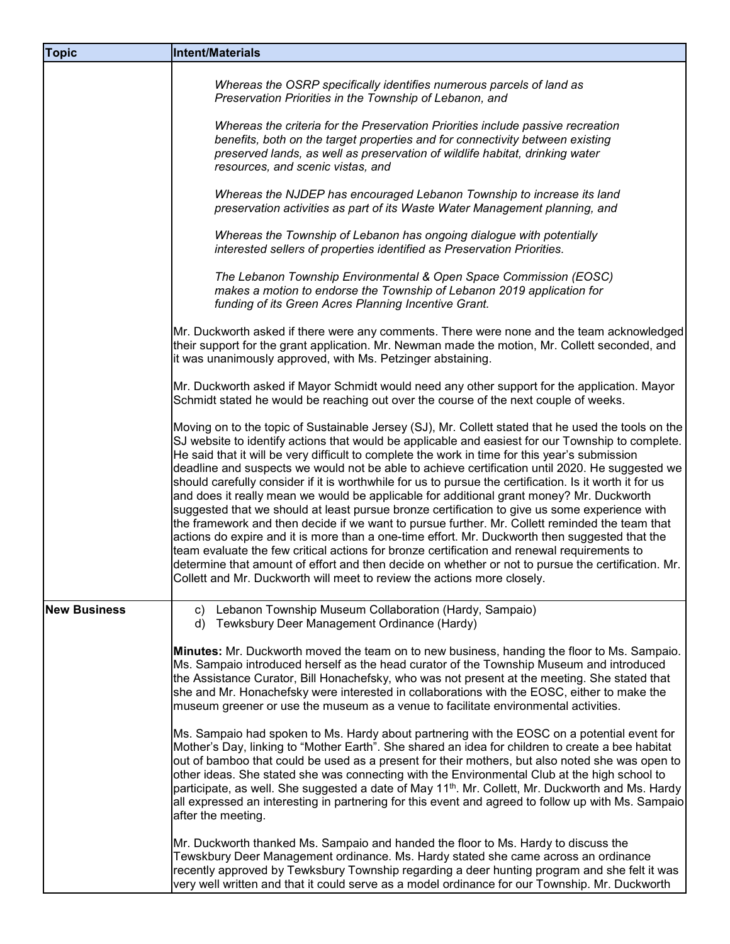| <b>Topic</b>        | <b>Intent/Materials</b>                                                                                                                                                                                                                                                                                                                                                                                                                                                                                                                                                                                                                                                                                                                                                                                                                                                                                                                                                                                                                                                                                                                                                                                   |
|---------------------|-----------------------------------------------------------------------------------------------------------------------------------------------------------------------------------------------------------------------------------------------------------------------------------------------------------------------------------------------------------------------------------------------------------------------------------------------------------------------------------------------------------------------------------------------------------------------------------------------------------------------------------------------------------------------------------------------------------------------------------------------------------------------------------------------------------------------------------------------------------------------------------------------------------------------------------------------------------------------------------------------------------------------------------------------------------------------------------------------------------------------------------------------------------------------------------------------------------|
|                     | Whereas the OSRP specifically identifies numerous parcels of land as<br>Preservation Priorities in the Township of Lebanon, and                                                                                                                                                                                                                                                                                                                                                                                                                                                                                                                                                                                                                                                                                                                                                                                                                                                                                                                                                                                                                                                                           |
|                     | Whereas the criteria for the Preservation Priorities include passive recreation<br>benefits, both on the target properties and for connectivity between existing<br>preserved lands, as well as preservation of wildlife habitat, drinking water<br>resources, and scenic vistas, and                                                                                                                                                                                                                                                                                                                                                                                                                                                                                                                                                                                                                                                                                                                                                                                                                                                                                                                     |
|                     | Whereas the NJDEP has encouraged Lebanon Township to increase its land<br>preservation activities as part of its Waste Water Management planning, and                                                                                                                                                                                                                                                                                                                                                                                                                                                                                                                                                                                                                                                                                                                                                                                                                                                                                                                                                                                                                                                     |
|                     | Whereas the Township of Lebanon has ongoing dialogue with potentially<br>interested sellers of properties identified as Preservation Priorities.                                                                                                                                                                                                                                                                                                                                                                                                                                                                                                                                                                                                                                                                                                                                                                                                                                                                                                                                                                                                                                                          |
|                     | The Lebanon Township Environmental & Open Space Commission (EOSC)<br>makes a motion to endorse the Township of Lebanon 2019 application for<br>funding of its Green Acres Planning Incentive Grant.                                                                                                                                                                                                                                                                                                                                                                                                                                                                                                                                                                                                                                                                                                                                                                                                                                                                                                                                                                                                       |
|                     | Mr. Duckworth asked if there were any comments. There were none and the team acknowledged<br>their support for the grant application. Mr. Newman made the motion, Mr. Collett seconded, and<br>it was unanimously approved, with Ms. Petzinger abstaining.                                                                                                                                                                                                                                                                                                                                                                                                                                                                                                                                                                                                                                                                                                                                                                                                                                                                                                                                                |
|                     | Mr. Duckworth asked if Mayor Schmidt would need any other support for the application. Mayor<br>Schmidt stated he would be reaching out over the course of the next couple of weeks.                                                                                                                                                                                                                                                                                                                                                                                                                                                                                                                                                                                                                                                                                                                                                                                                                                                                                                                                                                                                                      |
|                     | Moving on to the topic of Sustainable Jersey (SJ), Mr. Collett stated that he used the tools on the<br>SJ website to identify actions that would be applicable and easiest for our Township to complete.<br>He said that it will be very difficult to complete the work in time for this year's submission<br>deadline and suspects we would not be able to achieve certification until 2020. He suggested we<br>should carefully consider if it is worthwhile for us to pursue the certification. Is it worth it for us<br>and does it really mean we would be applicable for additional grant money? Mr. Duckworth<br>suggested that we should at least pursue bronze certification to give us some experience with<br>the framework and then decide if we want to pursue further. Mr. Collett reminded the team that<br>actions do expire and it is more than a one-time effort. Mr. Duckworth then suggested that the<br>team evaluate the few critical actions for bronze certification and renewal requirements to<br>determine that amount of effort and then decide on whether or not to pursue the certification. Mr.<br>Collett and Mr. Duckworth will meet to review the actions more closely. |
| <b>New Business</b> | Lebanon Township Museum Collaboration (Hardy, Sampaio)<br>C)<br>Tewksbury Deer Management Ordinance (Hardy)<br>d)                                                                                                                                                                                                                                                                                                                                                                                                                                                                                                                                                                                                                                                                                                                                                                                                                                                                                                                                                                                                                                                                                         |
|                     | Minutes: Mr. Duckworth moved the team on to new business, handing the floor to Ms. Sampaio.<br>Ms. Sampaio introduced herself as the head curator of the Township Museum and introduced<br>the Assistance Curator, Bill Honachefsky, who was not present at the meeting. She stated that<br>she and Mr. Honachefsky were interested in collaborations with the EOSC, either to make the<br>museum greener or use the museum as a venue to facilitate environmental activities.                                                                                                                                                                                                                                                                                                                                                                                                                                                                                                                                                                                                                                                                                                                            |
|                     | Ms. Sampaio had spoken to Ms. Hardy about partnering with the EOSC on a potential event for<br>Mother's Day, linking to "Mother Earth". She shared an idea for children to create a bee habitat<br>out of bamboo that could be used as a present for their mothers, but also noted she was open to<br>other ideas. She stated she was connecting with the Environmental Club at the high school to<br>participate, as well. She suggested a date of May 11 <sup>th</sup> . Mr. Collett, Mr. Duckworth and Ms. Hardy<br>all expressed an interesting in partnering for this event and agreed to follow up with Ms. Sampaio<br>after the meeting.                                                                                                                                                                                                                                                                                                                                                                                                                                                                                                                                                           |
|                     | Mr. Duckworth thanked Ms. Sampaio and handed the floor to Ms. Hardy to discuss the<br>Tewskbury Deer Management ordinance. Ms. Hardy stated she came across an ordinance<br>recently approved by Tewksbury Township regarding a deer hunting program and she felt it was<br>very well written and that it could serve as a model ordinance for our Township. Mr. Duckworth                                                                                                                                                                                                                                                                                                                                                                                                                                                                                                                                                                                                                                                                                                                                                                                                                                |